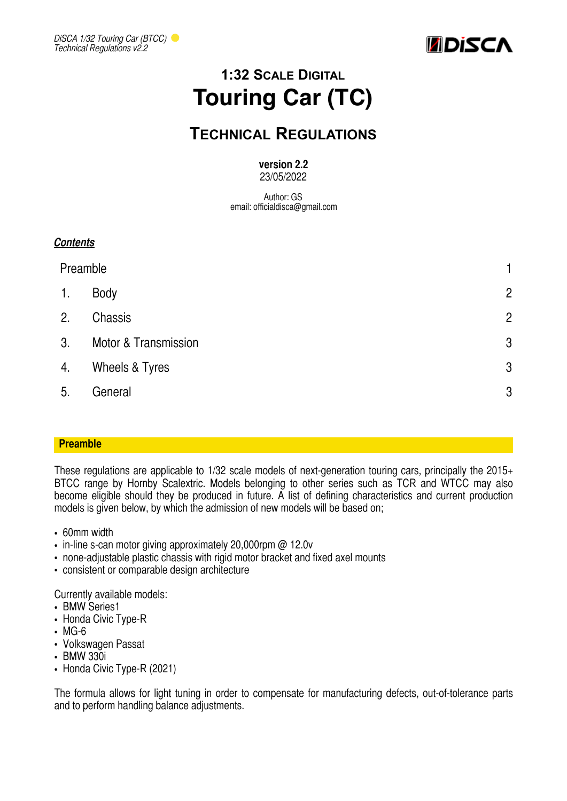



# **1:32 SCALE DIGITAL Touring Car (TC)**

## **TECHNICAL REGULATIONS**

#### **version 2.2**  23/05/2022

Author: GS email: officialdisca@gmail.com

### *Contents*

| Preamble |                      | 1              |
|----------|----------------------|----------------|
| 1.       | Body                 | $\overline{2}$ |
| 2.       | Chassis              | $\overline{2}$ |
| 3.       | Motor & Transmission | $\mathfrak{B}$ |
| 4.       | Wheels & Tyres       | $\mathfrak{B}$ |
| 5.       | General              | $\mathfrak{B}$ |

#### <span id="page-0-0"></span>**Preamble**

These regulations are applicable to 1/32 scale models of next-generation touring cars, principally the 2015+ BTCC range by Hornby Scalextric. Models belonging to other series such as TCR and WTCC may also become eligible should they be produced in future. A list of defining characteristics and current production models is given below, by which the admission of new models will be based on;

- 60mm width
- in-line s-can motor giving approximately 20,000rpm @ 12.0v
- none-adjustable plastic chassis with rigid motor bracket and fixed axel mounts
- consistent or comparable design architecture

Currently available models:

- BMW Series1
- Honda Civic Type-R
- MG-6
- Volkswagen Passat
- BMW 330i
- Honda Civic Type-R (2021)

The formula allows for light tuning in order to compensate for manufacturing defects, out-of-tolerance parts and to perform handling balance adjustments.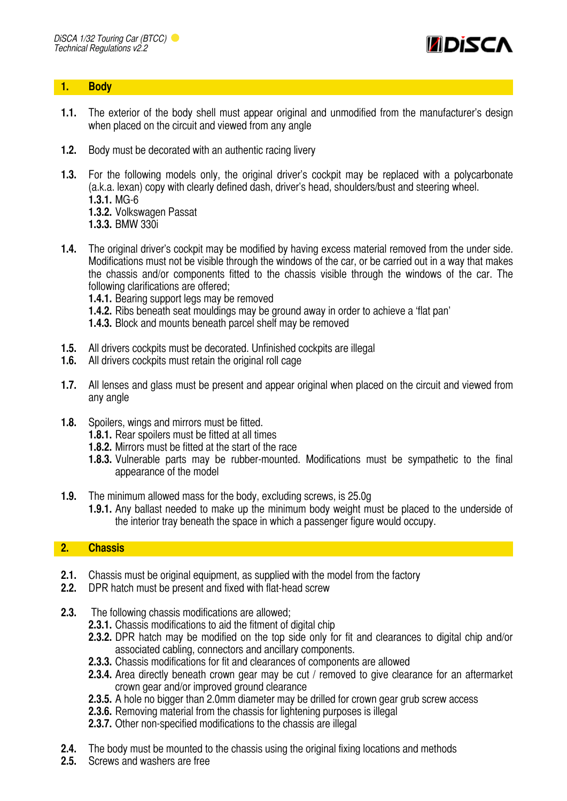

#### <span id="page-1-0"></span>**1. Body**

- **1.1.** The exterior of the body shell must appear original and unmodified from the manufacturer's design when placed on the circuit and viewed from any angle
- **1.2.** Body must be decorated with an authentic racing livery
- **1.3.** For the following models only, the original driver's cockpit may be replaced with a polycarbonate (a.k.a. lexan) copy with clearly defined dash, driver's head, shoulders/bust and steering wheel. **1.3.1.** MG-6
	- **1.3.2.** Volkswagen Passat
	- **1.3.3.** BMW 330i
- **1.4.** The original driver's cockpit may be modified by having excess material removed from the under side. Modifications must not be visible through the windows of the car, or be carried out in a way that makes the chassis and/or components fitted to the chassis visible through the windows of the car. The following clarifications are offered;
	- **1.4.1.** Bearing support legs may be removed
	- **1.4.2.** Ribs beneath seat mouldings may be ground away in order to achieve a 'flat pan'
	- **1.4.3.** Block and mounts beneath parcel shelf may be removed
- **1.5.** All drivers cockpits must be decorated. Unfinished cockpits are illegal
- **1.6.** All drivers cockpits must retain the original roll cage
- **1.7.** All lenses and glass must be present and appear original when placed on the circuit and viewed from any angle
- **1.8.** Spoilers, wings and mirrors must be fitted.
	- **1.8.1.** Rear spoilers must be fitted at all times
	- **1.8.2.** Mirrors must be fitted at the start of the race
	- **1.8.3.** Vulnerable parts may be rubber-mounted. Modifications must be sympathetic to the final appearance of the model
- **1.9.** The minimum allowed mass for the body, excluding screws, is 25.0g
	- **1.9.1.** Any ballast needed to make up the minimum body weight must be placed to the underside of the interior tray beneath the space in which a passenger figure would occupy.

#### <span id="page-1-1"></span>**2. Chassis**

- **2.1.** Chassis must be original equipment, as supplied with the model from the factory
- **2.2.** DPR hatch must be present and fixed with flat-head screw
- **2.3.** The following chassis modifications are allowed;
	- **2.3.1.** Chassis modifications to aid the fitment of digital chip
	- **2.3.2.** DPR hatch may be modified on the top side only for fit and clearances to digital chip and/or associated cabling, connectors and ancillary components.
	- **2.3.3.** Chassis modifications for fit and clearances of components are allowed
	- **2.3.4.** Area directly beneath crown gear may be cut / removed to give clearance for an aftermarket crown gear and/or improved ground clearance
	- **2.3.5.** A hole no bigger than 2.0mm diameter may be drilled for crown gear grub screw access
	- **2.3.6.** Removing material from the chassis for lightening purposes is illegal
	- **2.3.7.** Other non-specified modifications to the chassis are illegal
- **2.4.** The body must be mounted to the chassis using the original fixing locations and methods
- **2.5.** Screws and washers are free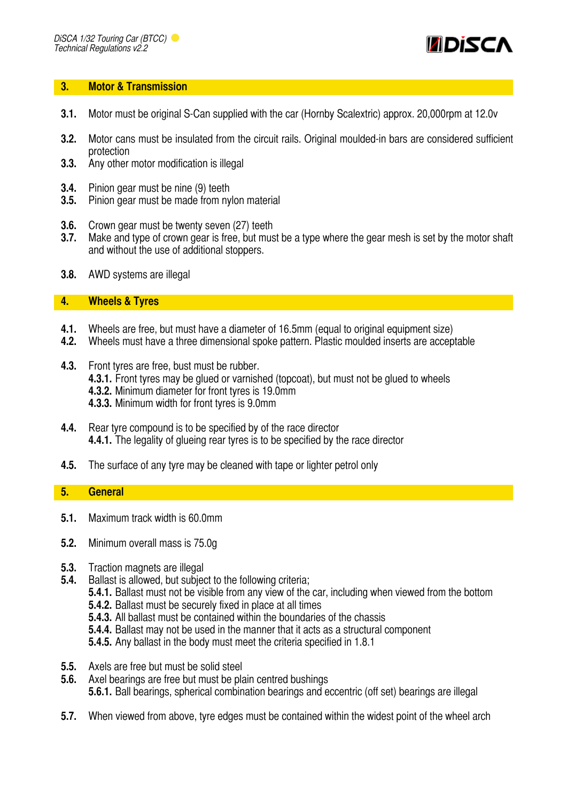

#### <span id="page-2-0"></span>**3. Motor & Transmission**

- **3.1.** Motor must be original S-Can supplied with the car (Hornby Scalextric) approx. 20,000rpm at 12.0v
- **3.2.** Motor cans must be insulated from the circuit rails. Original moulded-in bars are considered sufficient protection
- **3.3.** Any other motor modification is illegal
- **3.4.** Pinion gear must be nine (9) teeth
- **3.5.** Pinion gear must be made from nylon material
- **3.6.** Crown gear must be twenty seven (27) teeth
- **3.7.** Make and type of crown gear is free, but must be a type where the gear mesh is set by the motor shaft and without the use of additional stoppers.
- **3.8.** AWD systems are illegal

#### <span id="page-2-1"></span>**4. Wheels & Tyres**

- **4.1.** Wheels are free, but must have a diameter of 16.5mm (equal to original equipment size)
- **4.2.** Wheels must have a three dimensional spoke pattern. Plastic moulded inserts are acceptable
- **4.3.** Front tyres are free, bust must be rubber. **4.3.1.** Front tyres may be glued or varnished (topcoat), but must not be glued to wheels **4.3.2.** Minimum diameter for front tyres is 19.0mm **4.3.3.** Minimum width for front tyres is 9.0mm
- **4.4.** Rear tyre compound is to be specified by of the race director **4.4.1.** The legality of glueing rear tyres is to be specified by the race director
- **4.5.** The surface of any tyre may be cleaned with tape or lighter petrol only

#### <span id="page-2-2"></span>**5. General**

- **5.1.** Maximum track width is 60.0mm
- **5.2.** Minimum overall mass is 75.0g
- **5.3.** Traction magnets are illegal
- **5.4.** Ballast is allowed, but subject to the following criteria;
	- **5.4.1.** Ballast must not be visible from any view of the car, including when viewed from the bottom
	- **5.4.2.** Ballast must be securely fixed in place at all times
	- **5.4.3.** All ballast must be contained within the boundaries of the chassis
	- **5.4.4.** Ballast may not be used in the manner that it acts as a structural component
	- **5.4.5.** Any ballast in the body must meet the criteria specified in 1.8.1
- **5.5.** Axels are free but must be solid steel
- **5.6.** Axel bearings are free but must be plain centred bushings **5.6.1.** Ball bearings, spherical combination bearings and eccentric (off set) bearings are illegal
- **5.7.** When viewed from above, tyre edges must be contained within the widest point of the wheel arch